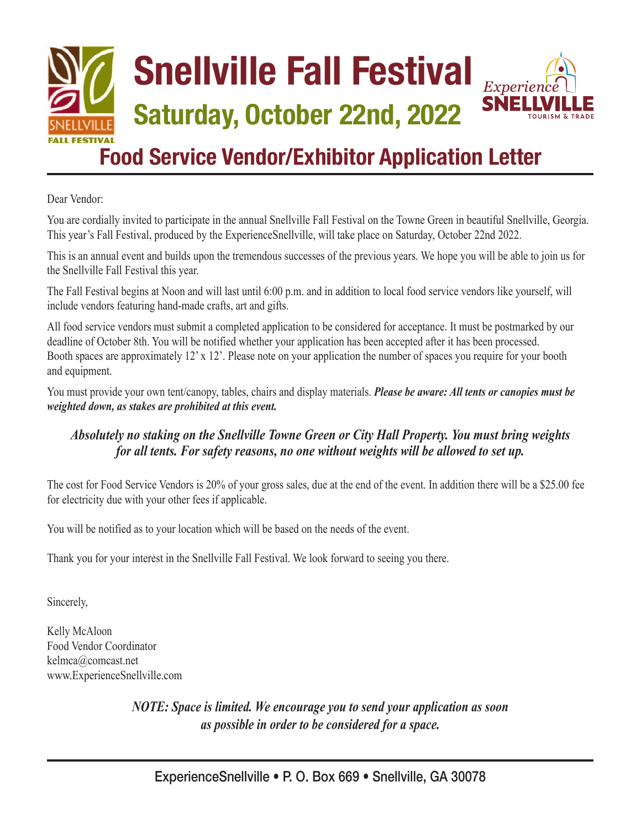## **Snellville Fall Festival Experient SNELL Saturday, October 22nd, 2022 L FESTIVAL Food Service Vendor/Exhibitor Application Letter**

Dear Vendor:

You are cordially invited to participate in the annual Snellville Fall Festival on the Towne Green in beautiful Snellville, Georgia. This year's Fall Festival, produced by the ExperienceSnellville, will take place on Saturday, October 22nd 2022.

This is an annual event and builds upon the tremendous successes of the previous years. We hope you will be able to join us for the Snellville Fall Festival this year.

The Fall Festival begins at Noon and will last until 6:00 p.m. and in addition to local food service vendors like yourself, will include vendors featuring hand-made crafts, art and gifts.

All food service vendors must submit a completed application to be considered for acceptance. It must be postmarked by our deadline of October 8th. You will be notified whether your application has been accepted after it has been processed. Booth spaces are approximately 12' x 12'. Please note on your application the number of spaces you require for your booth and equipment.

You must provide your own tent/canopy, tables, chairs and display materials. *Please be aware: All tents or canopies must be weighted down, as stakes are prohibited at this event.*

### *Absolutely no staking on the Snellville Towne Green or City Hall Property. You must bring weights for all tents. For safety reasons, no one without weights will be allowed to set up.*

The cost for Food Service Vendors is 20% of your gross sales, due at the end of the event. In addition there will be a \$25.00 fee for electricity due with your other fees if applicable.

You will be notified as to your location which will be based on the needs of the event.

Thank you for your interest in the Snellville Fall Festival. We look forward to seeing you there.

Sincerely,

Kelly McAloon Food Vendor Coordinator kelmca@comcast.net www.ExperienceSnellville.com

> *NOTE: Space is limited. We encourage you to send your application as soon as possible in order to be considered for a space.*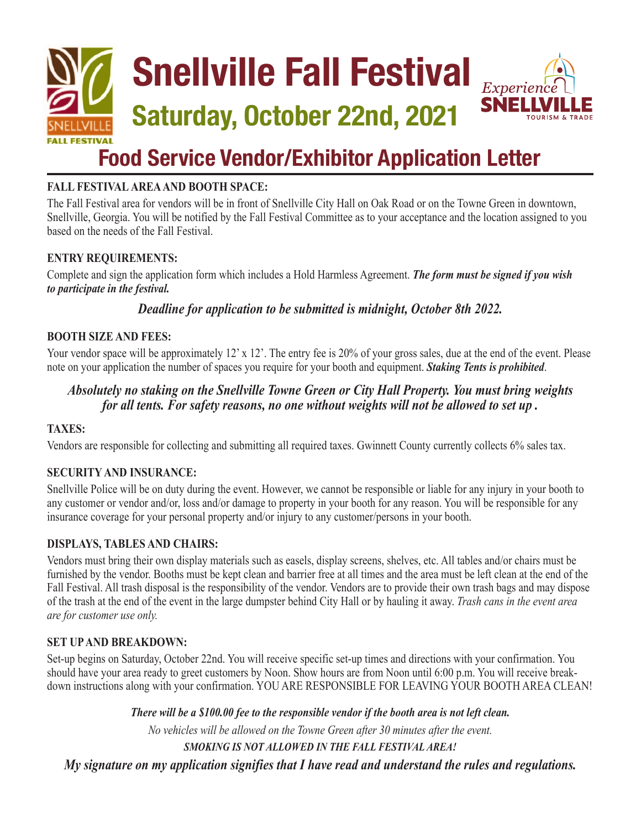

## **Food Service Vendor/Exhibitor Application Letter**

#### **FALL FESTIVAL AREA AND BOOTH SPACE:**

The Fall Festival area for vendors will be in front of Snellville City Hall on Oak Road or on the Towne Green in downtown, Snellville, Georgia. You will be notified by the Fall Festival Committee as to your acceptance and the location assigned to you based on the needs of the Fall Festival.

#### **ENTRY REQUIREMENTS:**

Complete and sign the application form which includes a Hold Harmless Agreement. *The form must be signed if you wish to participate in the festival.* 

*Deadline for application to be submitted is midnight, October 8th 2022.* 

#### **BOOTH SIZE AND FEES:**

Your vendor space will be approximately 12' x 12'. The entry fee is 20% of your gross sales, due at the end of the event. Please note on your application the number of spaces you require for your booth and equipment. *Staking Tents is prohibited*.

#### *Absolutely no staking on the Snellville Towne Green or City Hall Property. You must bring weights for all tents. For safety reasons, no one without weights will not be allowed to set up .*

#### **TAXES:**

Vendors are responsible for collecting and submitting all required taxes. Gwinnett County currently collects 6% sales tax.

#### **SECURITY AND INSURANCE:**

Snellville Police will be on duty during the event. However, we cannot be responsible or liable for any injury in your booth to any customer or vendor and/or, loss and/or damage to property in your booth for any reason. You will be responsible for any insurance coverage for your personal property and/or injury to any customer/persons in your booth.

#### **DISPLAYS, TABLES AND CHAIRS:**

Vendors must bring their own display materials such as easels, display screens, shelves, etc. All tables and/or chairs must be furnished by the vendor. Booths must be kept clean and barrier free at all times and the area must be left clean at the end of the Fall Festival. All trash disposal is the responsibility of the vendor. Vendors are to provide their own trash bags and may dispose of the trash at the end of the event in the large dumpster behind City Hall or by hauling it away. *Trash cans in the event area are for customer use only.*

#### **SET UP AND BREAKDOWN:**

Set-up begins on Saturday, October 22nd. You will receive specific set-up times and directions with your confirmation. You should have your area ready to greet customers by Noon. Show hours are from Noon until 6:00 p.m. You will receive breakdown instructions along with your confirmation. YOU ARE RESPONSIBLE FOR LEAVING YOUR BOOTH AREA CLEAN!

> *There will be a \$100.00 fee to the responsible vendor if the booth area is not left clean. No vehicles will be allowed on the Towne Green after 30 minutes after the event. SMOKING IS NOT ALLOWED IN THE FALL FESTIVAL AREA!*

*My signature on my application signifies that I have read and understand the rules and regulations.*